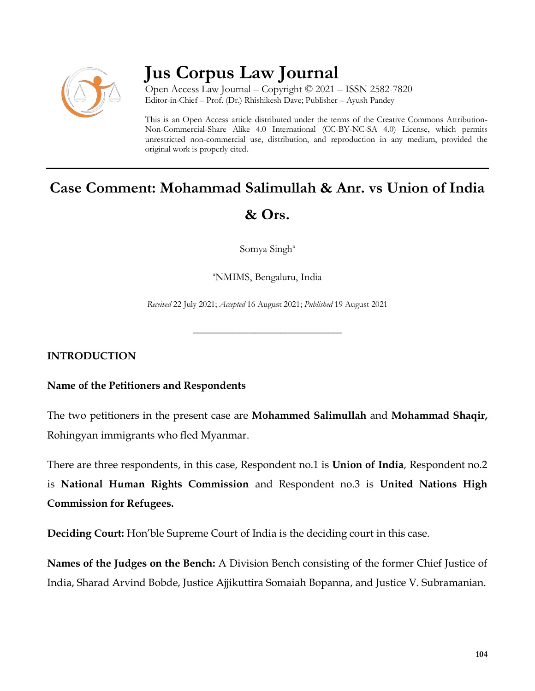

## **Jus Corpus Law Journal**

Open Access Law Journal – Copyright © 2021 – ISSN 2582-7820 Editor-in-Chief – Prof. (Dr.) Rhishikesh Dave; Publisher – Ayush Pandey

This is an Open Access article distributed under the terms of the Creative Commons Attribution-Non-Commercial-Share Alike 4.0 International (CC-BY-NC-SA 4.0) License, which permits unrestricted non-commercial use, distribution, and reproduction in any medium, provided the original work is properly cited.

# **Case Comment: Mohammad Salimullah & Anr. vs Union of India & Ors.**

Somya Singh<sup>a</sup>

<sup>a</sup>NMIMS, Bengaluru, India

*Received* 22 July 2021; *Accepted* 16 August 2021; *Published* 19 August 2021

\_\_\_\_\_\_\_\_\_\_\_\_\_\_\_\_\_\_\_\_\_\_\_\_\_\_\_\_\_\_\_\_\_\_

**INTRODUCTION**

## **Name of the Petitioners and Respondents**

The two petitioners in the present case are **Mohammed Salimullah** and **Mohammad Shaqir,** Rohingyan immigrants who fled Myanmar.

There are three respondents, in this case, Respondent no.1 is **Union of India**, Respondent no.2 is **National Human Rights Commission** and Respondent no.3 is **United Nations High Commission for Refugees.**

**Deciding Court:** Hon'ble Supreme Court of India is the deciding court in this case.

**Names of the Judges on the Bench:** A Division Bench consisting of the former Chief Justice of India, Sharad Arvind Bobde, Justice Ajjikuttira Somaiah Bopanna, and Justice V. Subramanian.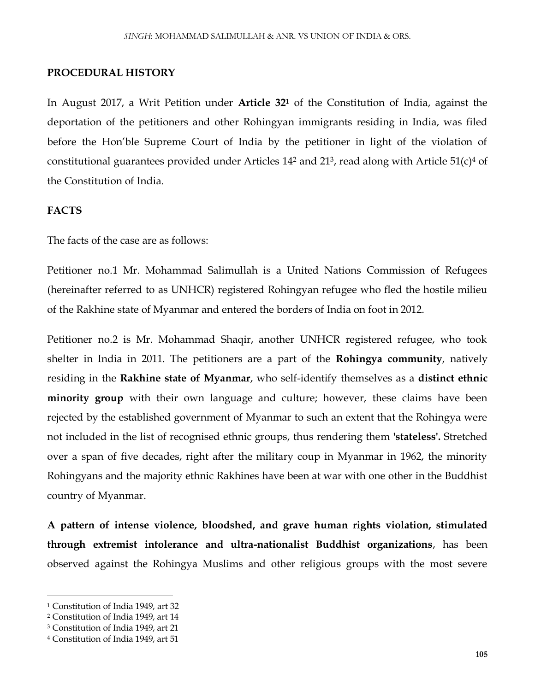#### **PROCEDURAL HISTORY**

In August 2017, a Writ Petition under **Article 32<sup>1</sup>** of the Constitution of India, against the deportation of the petitioners and other Rohingyan immigrants residing in India, was filed before the Hon'ble Supreme Court of India by the petitioner in light of the violation of constitutional guarantees provided under Articles  $14^2$  and  $21^3$ , read along with Article 51(c)<sup>4</sup> of the Constitution of India.

#### **FACTS**

The facts of the case are as follows:

Petitioner no.1 Mr. Mohammad Salimullah is a United Nations Commission of Refugees (hereinafter referred to as UNHCR) registered Rohingyan refugee who fled the hostile milieu of the Rakhine state of Myanmar and entered the borders of India on foot in 2012.

Petitioner no.2 is Mr. Mohammad Shaqir, another UNHCR registered refugee, who took shelter in India in 2011. The petitioners are a part of the **Rohingya community**, natively residing in the **Rakhine state of Myanmar**, who self-identify themselves as a **distinct ethnic minority group** with their own language and culture; however, these claims have been rejected by the established government of Myanmar to such an extent that the Rohingya were not included in the list of recognised ethnic groups, thus rendering them **'stateless'.** Stretched over a span of five decades, right after the military coup in Myanmar in 1962, the minority Rohingyans and the majority ethnic Rakhines have been at war with one other in the Buddhist country of Myanmar.

**A pattern of intense violence, bloodshed, and grave human rights violation, stimulated through extremist intolerance and ultra-nationalist Buddhist organizations**, has been observed against the Rohingya Muslims and other religious groups with the most severe

 $\overline{\phantom{a}}$ 

<sup>1</sup> Constitution of India 1949, art 32

<sup>2</sup> Constitution of India 1949, art 14

<sup>3</sup> Constitution of India 1949, art 21

<sup>4</sup> Constitution of India 1949, art 51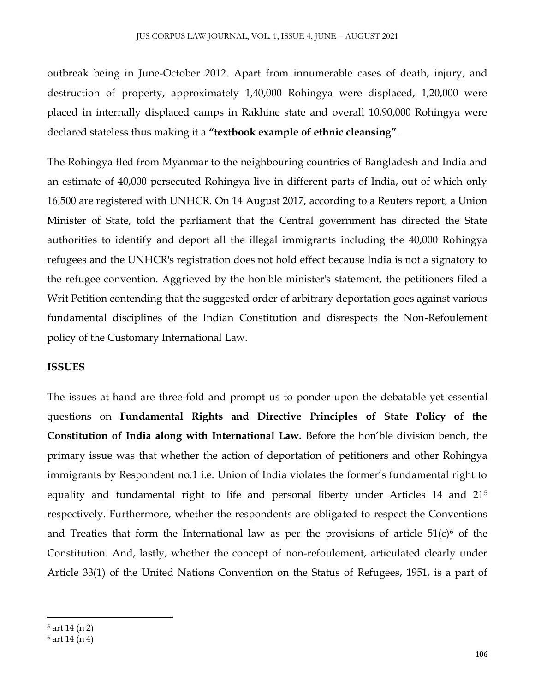outbreak being in June-October 2012. Apart from innumerable cases of death, injury, and destruction of property, approximately 1,40,000 Rohingya were displaced, 1,20,000 were placed in internally displaced camps in Rakhine state and overall 10,90,000 Rohingya were declared stateless thus making it a **"textbook example of ethnic cleansing"**.

The Rohingya fled from Myanmar to the neighbouring countries of Bangladesh and India and an estimate of 40,000 persecuted Rohingya live in different parts of India, out of which only 16,500 are registered with UNHCR. On 14 August 2017, according to a Reuters report, a Union Minister of State, told the parliament that the Central government has directed the State authorities to identify and deport all the illegal immigrants including the 40,000 Rohingya refugees and the UNHCR's registration does not hold effect because India is not a signatory to the refugee convention. Aggrieved by the hon'ble minister's statement, the petitioners filed a Writ Petition contending that the suggested order of arbitrary deportation goes against various fundamental disciplines of the Indian Constitution and disrespects the Non-Refoulement policy of the Customary International Law.

#### **ISSUES**

The issues at hand are three-fold and prompt us to ponder upon the debatable yet essential questions on **Fundamental Rights and Directive Principles of State Policy of the Constitution of India along with International Law.** Before the hon'ble division bench, the primary issue was that whether the action of deportation of petitioners and other Rohingya immigrants by Respondent no.1 i.e. Union of India violates the former's fundamental right to equality and fundamental right to life and personal liberty under Articles 14 and 21<sup>5</sup> respectively. Furthermore, whether the respondents are obligated to respect the Conventions and Treaties that form the International law as per the provisions of article  $51(c)$ <sup>6</sup> of the Constitution. And, lastly, whether the concept of non-refoulement, articulated clearly under Article 33(1) of the United Nations Convention on the Status of Refugees, 1951, is a part of

 $\overline{\phantom{a}}$ 

<sup>5</sup> art 14 (n 2)

<sup>6</sup> art 14 (n 4)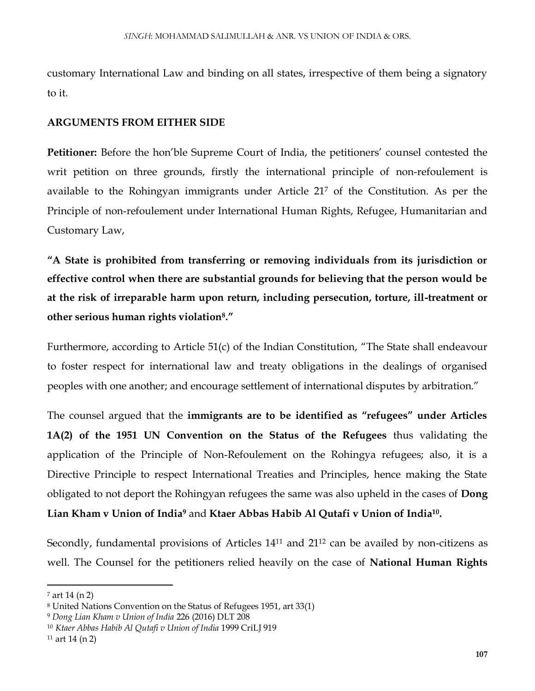customary International Law and binding on all states, irrespective of them being a signatory to it.

## **ARGUMENTS FROM EITHER SIDE**

**Petitioner:** Before the hon'ble Supreme Court of India, the petitioners' counsel contested the writ petition on three grounds, firstly the international principle of non-refoulement is available to the Rohingyan immigrants under Article 21<sup>7</sup> of the Constitution. As per the Principle of non-refoulement under International Human Rights, Refugee, Humanitarian and Customary Law,

**"A State is prohibited from transferring or removing individuals from its jurisdiction or effective control when there are substantial grounds for believing that the person would be at the risk of irreparable harm upon return, including persecution, torture, ill-treatment or other serious human rights violation<sup>8</sup> ."**

Furthermore, according to Article 51(c) of the Indian Constitution, "The State shall endeavour to foster respect for international law and treaty obligations in the dealings of organised peoples with one another; and encourage settlement of international disputes by arbitration."

The counsel argued that the **immigrants are to be identified as "refugees" under Articles 1A(2) of the 1951 UN Convention on the Status of the Refugees** thus validating the application of the Principle of Non-Refoulement on the Rohingya refugees; also, it is a Directive Principle to respect International Treaties and Principles, hence making the State obligated to not deport the Rohingyan refugees the same was also upheld in the cases of **Dong** 

**Lian Kham v Union of India<sup>9</sup>** and **Ktaer Abbas Habib Al Qutafi v Union of India<sup>10</sup> .**

Secondly, fundamental provisions of Articles 14<sup>11</sup> and 21<sup>12</sup> can be availed by non-citizens as well. The Counsel for the petitioners relied heavily on the case of **National Human Rights** 

 $\overline{a}$ 

<sup>7</sup> art 14 (n 2)

<sup>8</sup> United Nations Convention on the Status of Refugees 1951, art 33(1)

<sup>9</sup> *Dong Lian Kham v Union of India* 226 (2016) DLT 208

<sup>10</sup> *Ktaer Abbas Habib Al Qutafi v Union of India* 1999 CriLJ 919

 $11$  art 14 (n 2)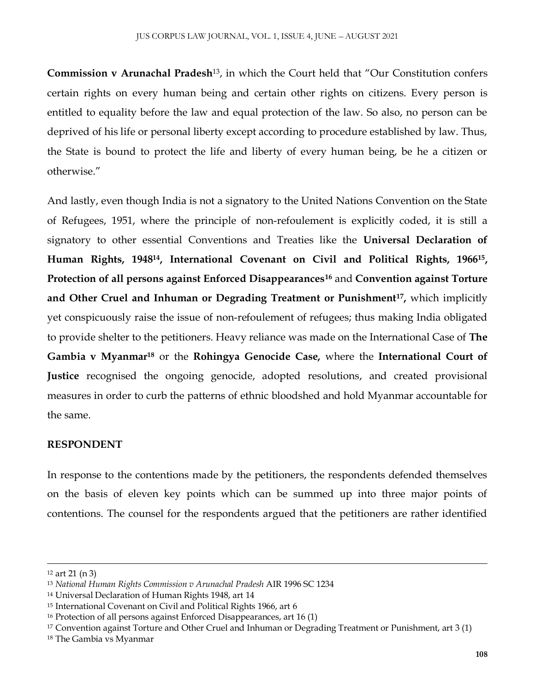**Commission v Arunachal Pradesh**13, in which the Court held that "Our Constitution confers certain rights on every human being and certain other rights on citizens. Every person is entitled to equality before the law and equal protection of the law. So also, no person can be deprived of his life or personal liberty except according to procedure established by law. Thus, the State is bound to protect the life and liberty of every human being, be he a citizen or otherwise."

And lastly, even though India is not a signatory to the United Nations Convention on the State of Refugees, 1951, where the principle of non-refoulement is explicitly coded, it is still a signatory to other essential Conventions and Treaties like the **Universal Declaration of Human Rights, 194814, International Covenant on Civil and Political Rights, 1966<sup>15</sup> , Protection of all persons against Enforced Disappearances<sup>16</sup>** and **Convention against Torture and Other Cruel and Inhuman or Degrading Treatment or Punishment<sup>17</sup> ,** which implicitly yet conspicuously raise the issue of non-refoulement of refugees; thus making India obligated to provide shelter to the petitioners. Heavy reliance was made on the International Case of **The Gambia v Myanmar<sup>18</sup>** or the **Rohingya Genocide Case,** where the **International Court of Justice** recognised the ongoing genocide, adopted resolutions, and created provisional measures in order to curb the patterns of ethnic bloodshed and hold Myanmar accountable for the same.

#### **RESPONDENT**

In response to the contentions made by the petitioners, the respondents defended themselves on the basis of eleven key points which can be summed up into three major points of contentions. The counsel for the respondents argued that the petitioners are rather identified

 $\overline{a}$ 

<sup>12</sup> art 21 (n 3)

<sup>13</sup> *National Human Rights Commission v Arunachal Pradesh* AIR 1996 SC 1234

<sup>14</sup> Universal Declaration of Human Rights 1948, art 14

<sup>15</sup> International Covenant on Civil and Political Rights 1966, art 6

<sup>16</sup> Protection of all persons against Enforced Disappearances, art 16 (1)

<sup>17</sup> Convention against Torture and Other Cruel and Inhuman or Degrading Treatment or Punishment, art 3 (1)

<sup>18</sup> The Gambia vs Myanmar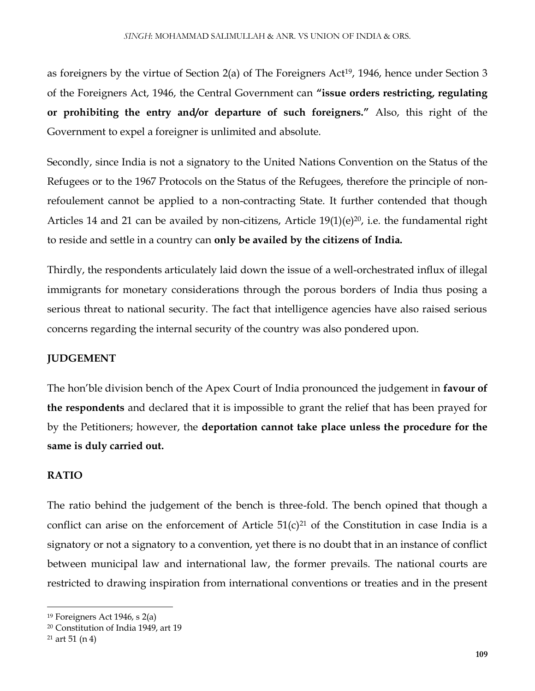as foreigners by the virtue of Section  $2(a)$  of The Foreigners Act<sup>19</sup>, 1946, hence under Section 3 of the Foreigners Act, 1946, the Central Government can **"issue orders restricting, regulating or prohibiting the entry and/or departure of such foreigners."** Also, this right of the Government to expel a foreigner is unlimited and absolute.

Secondly, since India is not a signatory to the United Nations Convention on the Status of the Refugees or to the 1967 Protocols on the Status of the Refugees, therefore the principle of nonrefoulement cannot be applied to a non-contracting State. It further contended that though Articles 14 and 21 can be availed by non-citizens, Article  $19(1)(e)^{20}$ , i.e. the fundamental right to reside and settle in a country can **only be availed by the citizens of India.** 

Thirdly, the respondents articulately laid down the issue of a well-orchestrated influx of illegal immigrants for monetary considerations through the porous borders of India thus posing a serious threat to national security. The fact that intelligence agencies have also raised serious concerns regarding the internal security of the country was also pondered upon.

## **JUDGEMENT**

The hon'ble division bench of the Apex Court of India pronounced the judgement in **favour of the respondents** and declared that it is impossible to grant the relief that has been prayed for by the Petitioners; however, the **deportation cannot take place unless the procedure for the same is duly carried out.**

## **RATIO**

The ratio behind the judgement of the bench is three-fold. The bench opined that though a conflict can arise on the enforcement of Article  $51(c)^{21}$  of the Constitution in case India is a signatory or not a signatory to a convention, yet there is no doubt that in an instance of conflict between municipal law and international law, the former prevails. The national courts are restricted to drawing inspiration from international conventions or treaties and in the present

 $\overline{\phantom{a}}$ 

<sup>19</sup> Foreigners Act 1946, s 2(a)

<sup>20</sup> Constitution of India 1949, art 19

 $21$  art 51 (n 4)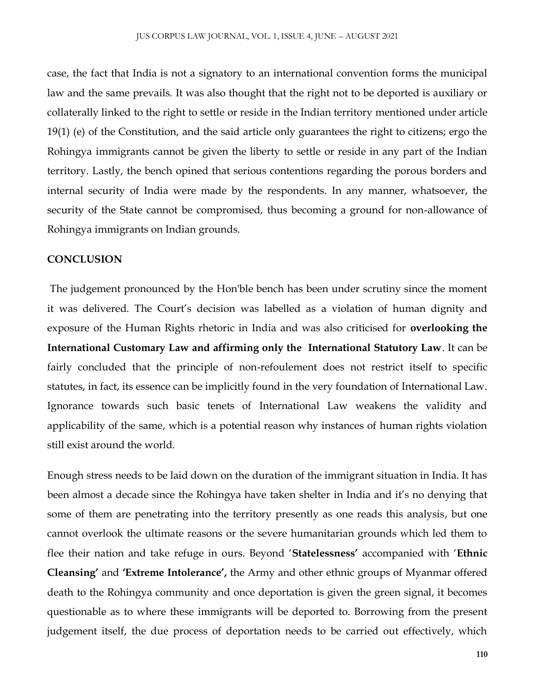case, the fact that India is not a signatory to an international convention forms the municipal law and the same prevails. It was also thought that the right not to be deported is auxiliary or collaterally linked to the right to settle or reside in the Indian territory mentioned under article 19(1) (e) of the Constitution, and the said article only guarantees the right to citizens; ergo the Rohingya immigrants cannot be given the liberty to settle or reside in any part of the Indian territory. Lastly, the bench opined that serious contentions regarding the porous borders and internal security of India were made by the respondents. In any manner, whatsoever, the security of the State cannot be compromised, thus becoming a ground for non-allowance of Rohingya immigrants on Indian grounds.

### **CONCLUSION**

The judgement pronounced by the Hon'ble bench has been under scrutiny since the moment it was delivered. The Court's decision was labelled as a violation of human dignity and exposure of the Human Rights rhetoric in India and was also criticised for **overlooking the International Customary Law and affirming only the International Statutory Law**. It can be fairly concluded that the principle of non-refoulement does not restrict itself to specific statutes, in fact, its essence can be implicitly found in the very foundation of International Law. Ignorance towards such basic tenets of International Law weakens the validity and applicability of the same, which is a potential reason why instances of human rights violation still exist around the world.

Enough stress needs to be laid down on the duration of the immigrant situation in India. It has been almost a decade since the Rohingya have taken shelter in India and it's no denying that some of them are penetrating into the territory presently as one reads this analysis, but one cannot overlook the ultimate reasons or the severe humanitarian grounds which led them to flee their nation and take refuge in ours. Beyond '**Statelessness'** accompanied with '**Ethnic Cleansing'** and **'Extreme Intolerance',** the Army and other ethnic groups of Myanmar offered death to the Rohingya community and once deportation is given the green signal, it becomes questionable as to where these immigrants will be deported to. Borrowing from the present judgement itself, the due process of deportation needs to be carried out effectively, which